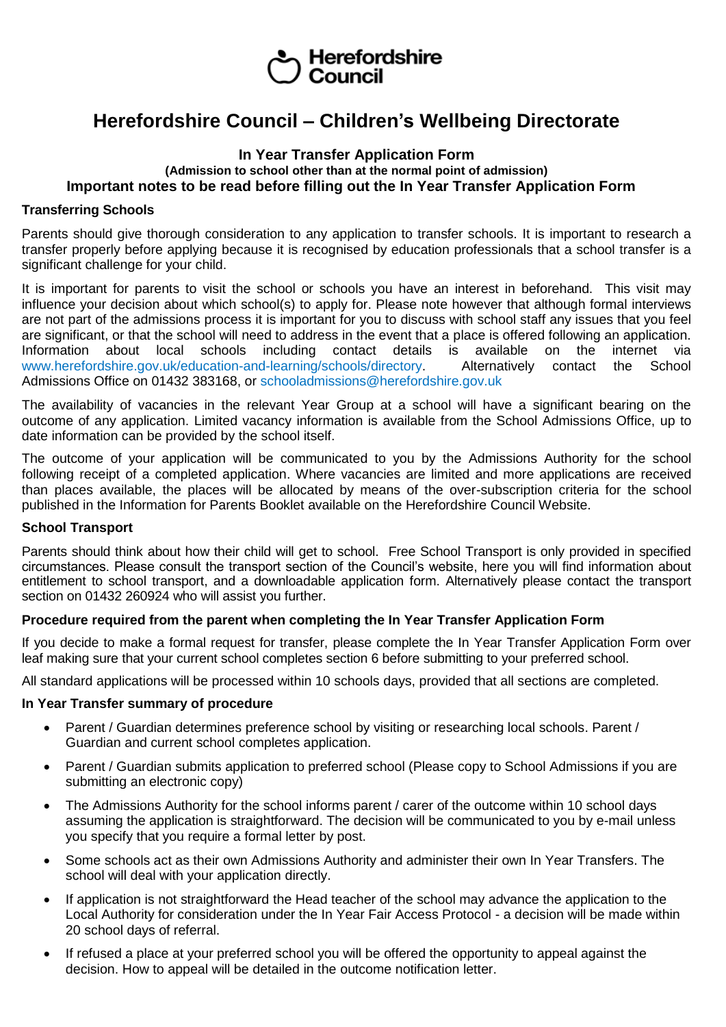# Herefordshire<br>Council

## **Herefordshire Council – Children's Wellbeing Directorate**

#### **In Year Transfer Application Form (Admission to school other than at the normal point of admission) Important notes to be read before filling out the In Year Transfer Application Form**

#### **Transferring Schools**

Parents should give thorough consideration to any application to transfer schools. It is important to research a transfer properly before applying because it is recognised by education professionals that a school transfer is a significant challenge for your child.

It is important for parents to visit the school or schools you have an interest in beforehand. This visit may influence your decision about which school(s) to apply for. Please note however that although formal interviews are not part of the admissions process it is important for you to discuss with school staff any issues that you feel are significant, or that the school will need to address in the event that a place is offered following an application.<br>Information about local schools including contact details is available on the internet via Information about local schools including contact details is available on the internet via www.herefordshire.gov.uk/education-and-learning/schools/directory. Alternatively contact the School Admissions Office on 01432 383168, or schooladmissions@herefordshire.gov.uk

The availability of vacancies in the relevant Year Group at a school will have a significant bearing on the outcome of any application. Limited vacancy information is available from the School Admissions Office, up to date information can be provided by the school itself.

The outcome of your application will be communicated to you by the Admissions Authority for the school following receipt of a completed application. Where vacancies are limited and more applications are received than places available, the places will be allocated by means of the over-subscription criteria for the school published in the Information for Parents Booklet available on the Herefordshire Council Website.

#### **School Transport**

Parents should think about how their child will get to school. Free School Transport is only provided in specified circumstances. Please consult the transport section of the Council's website, here you will find information about entitlement to school transport, and a downloadable application form. Alternatively please contact the transport section on 01432 260924 who will assist you further.

#### **Procedure required from the parent when completing the In Year Transfer Application Form**

If you decide to make a formal request for transfer, please complete the In Year Transfer Application Form over leaf making sure that your current school completes section 6 before submitting to your preferred school.

All standard applications will be processed within 10 schools days, provided that all sections are completed.

#### **In Year Transfer summary of procedure**

- Parent / Guardian determines preference school by visiting or researching local schools. Parent / Guardian and current school completes application.
- Parent / Guardian submits application to preferred school (Please copy to School Admissions if you are submitting an electronic copy)
- The Admissions Authority for the school informs parent / carer of the outcome within 10 school days assuming the application is straightforward. The decision will be communicated to you by e-mail unless you specify that you require a formal letter by post.
- Some schools act as their own Admissions Authority and administer their own In Year Transfers. The school will deal with your application directly.
- If application is not straightforward the Head teacher of the school may advance the application to the Local Authority for consideration under the In Year Fair Access Protocol - a decision will be made within 20 school days of referral.
- If refused a place at your preferred school you will be offered the opportunity to appeal against the decision. How to appeal will be detailed in the outcome notification letter.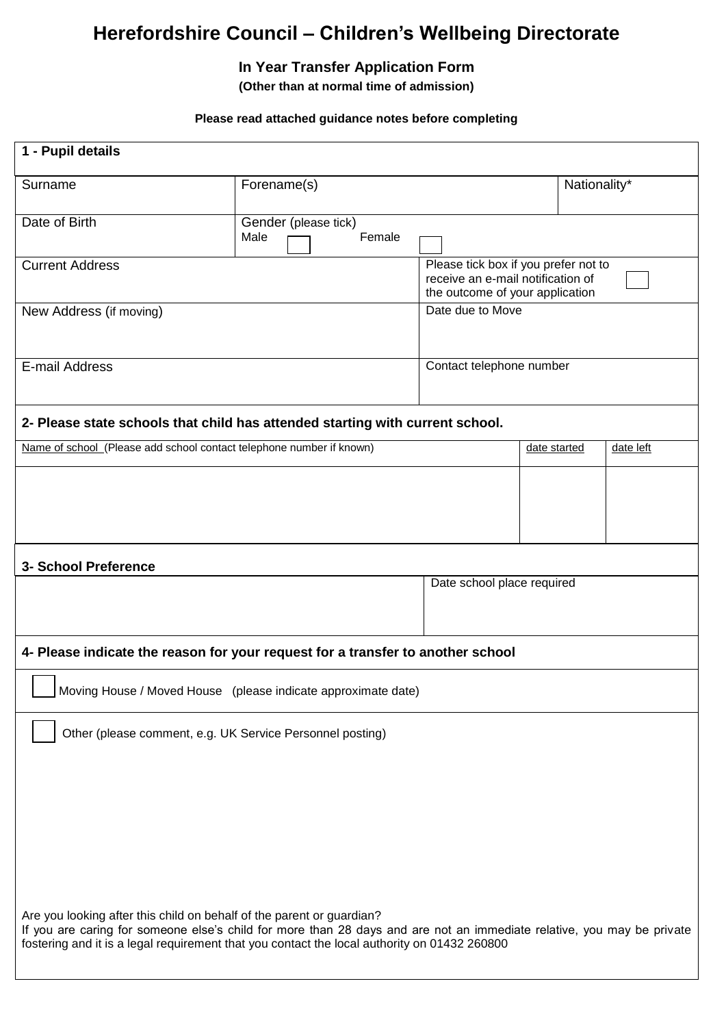# **Herefordshire Council – Children's Wellbeing Directorate**

### **In Year Transfer Application Form**

**(Other than at normal time of admission)**

#### **Please read attached guidance notes before completing**

| 1 - Pupil details                                                                                                                                                                                                                                                                               |                                        |                                                                                                              |              |           |  |  |
|-------------------------------------------------------------------------------------------------------------------------------------------------------------------------------------------------------------------------------------------------------------------------------------------------|----------------------------------------|--------------------------------------------------------------------------------------------------------------|--------------|-----------|--|--|
| Surname                                                                                                                                                                                                                                                                                         | Forename(s)                            |                                                                                                              | Nationality* |           |  |  |
| Date of Birth                                                                                                                                                                                                                                                                                   | Gender (please tick)<br>Female<br>Male |                                                                                                              |              |           |  |  |
| <b>Current Address</b>                                                                                                                                                                                                                                                                          |                                        | Please tick box if you prefer not to<br>receive an e-mail notification of<br>the outcome of your application |              |           |  |  |
| New Address (if moving)                                                                                                                                                                                                                                                                         |                                        | Date due to Move                                                                                             |              |           |  |  |
| E-mail Address                                                                                                                                                                                                                                                                                  |                                        | Contact telephone number                                                                                     |              |           |  |  |
| 2- Please state schools that child has attended starting with current school.                                                                                                                                                                                                                   |                                        |                                                                                                              |              |           |  |  |
| Name of school (Please add school contact telephone number if known)                                                                                                                                                                                                                            |                                        |                                                                                                              | date started | date left |  |  |
|                                                                                                                                                                                                                                                                                                 |                                        |                                                                                                              |              |           |  |  |
|                                                                                                                                                                                                                                                                                                 |                                        |                                                                                                              |              |           |  |  |
| 3- School Preference                                                                                                                                                                                                                                                                            |                                        | Date school place required                                                                                   |              |           |  |  |
|                                                                                                                                                                                                                                                                                                 |                                        |                                                                                                              |              |           |  |  |
| 4- Please indicate the reason for your request for a transfer to another school                                                                                                                                                                                                                 |                                        |                                                                                                              |              |           |  |  |
| Moving House / Moved House (please indicate approximate date)                                                                                                                                                                                                                                   |                                        |                                                                                                              |              |           |  |  |
| Other (please comment, e.g. UK Service Personnel posting)                                                                                                                                                                                                                                       |                                        |                                                                                                              |              |           |  |  |
|                                                                                                                                                                                                                                                                                                 |                                        |                                                                                                              |              |           |  |  |
|                                                                                                                                                                                                                                                                                                 |                                        |                                                                                                              |              |           |  |  |
|                                                                                                                                                                                                                                                                                                 |                                        |                                                                                                              |              |           |  |  |
|                                                                                                                                                                                                                                                                                                 |                                        |                                                                                                              |              |           |  |  |
| Are you looking after this child on behalf of the parent or guardian?<br>If you are caring for someone else's child for more than 28 days and are not an immediate relative, you may be private<br>fostering and it is a legal requirement that you contact the local authority on 01432 260800 |                                        |                                                                                                              |              |           |  |  |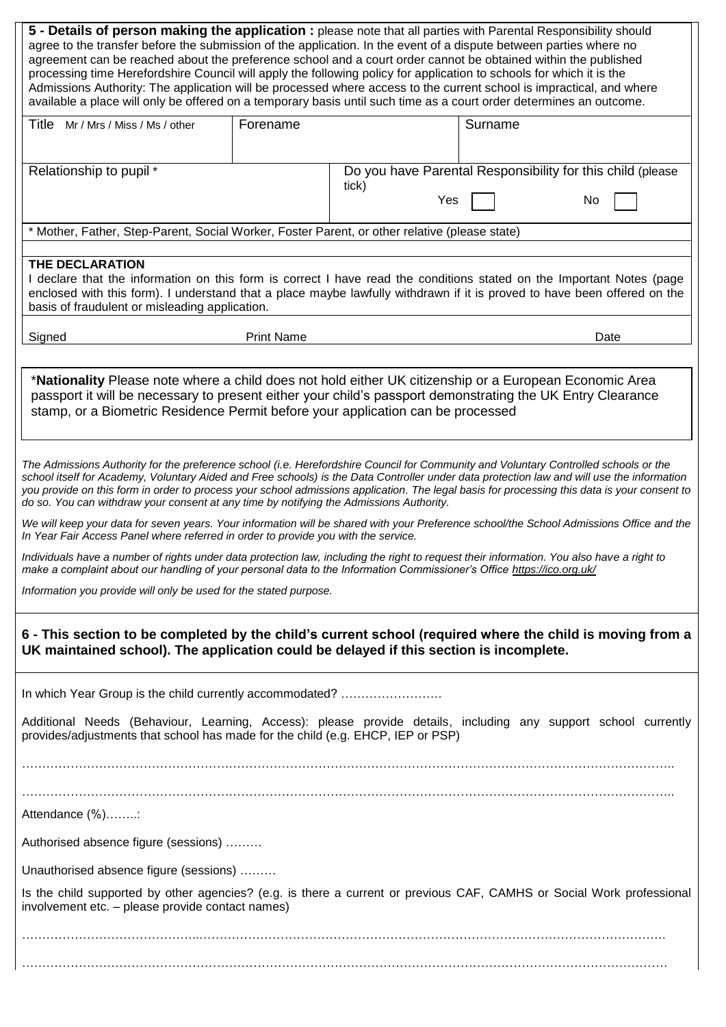| 5 - Details of person making the application : please note that all parties with Parental Responsibility should<br>agree to the transfer before the submission of the application. In the event of a dispute between parties where no<br>agreement can be reached about the preference school and a court order cannot be obtained within the published<br>processing time Herefordshire Council will apply the following policy for application to schools for which it is the<br>Admissions Authority: The application will be processed where access to the current school is impractical, and where<br>available a place will only be offered on a temporary basis until such time as a court order determines an outcome. |                   |              |                                                            |      |  |  |
|--------------------------------------------------------------------------------------------------------------------------------------------------------------------------------------------------------------------------------------------------------------------------------------------------------------------------------------------------------------------------------------------------------------------------------------------------------------------------------------------------------------------------------------------------------------------------------------------------------------------------------------------------------------------------------------------------------------------------------|-------------------|--------------|------------------------------------------------------------|------|--|--|
| Title Mr / Mrs / Miss / Ms / other                                                                                                                                                                                                                                                                                                                                                                                                                                                                                                                                                                                                                                                                                             | Forename          |              | Surname                                                    |      |  |  |
| Relationship to pupil *                                                                                                                                                                                                                                                                                                                                                                                                                                                                                                                                                                                                                                                                                                        |                   | tick)<br>Yes | Do you have Parental Responsibility for this child (please | No   |  |  |
| * Mother, Father, Step-Parent, Social Worker, Foster Parent, or other relative (please state)                                                                                                                                                                                                                                                                                                                                                                                                                                                                                                                                                                                                                                  |                   |              |                                                            |      |  |  |
| THE DECLARATION<br>I declare that the information on this form is correct I have read the conditions stated on the Important Notes (page<br>enclosed with this form). I understand that a place maybe lawfully withdrawn if it is proved to have been offered on the<br>basis of fraudulent or misleading application.                                                                                                                                                                                                                                                                                                                                                                                                         |                   |              |                                                            |      |  |  |
| Signed                                                                                                                                                                                                                                                                                                                                                                                                                                                                                                                                                                                                                                                                                                                         | <b>Print Name</b> |              |                                                            | Date |  |  |
| *Nationality Please note where a child does not hold either UK citizenship or a European Economic Area<br>passport it will be necessary to present either your child's passport demonstrating the UK Entry Clearance<br>stamp, or a Biometric Residence Permit before your application can be processed                                                                                                                                                                                                                                                                                                                                                                                                                        |                   |              |                                                            |      |  |  |
| The Admissions Authority for the preference school (i.e. Herefordshire Council for Community and Voluntary Controlled schools or the<br>school itself for Academy, Voluntary Aided and Free schools) is the Data Controller under data protection law and will use the information<br>you provide on this form in order to process your school admissions application. The legal basis for processing this data is your consent to<br>do so. You can withdraw your consent at any time by notifying the Admissions Authority.                                                                                                                                                                                                  |                   |              |                                                            |      |  |  |
| We will keep your data for seven years. Your information will be shared with your Preference school/the School Admissions Office and the<br>In Year Fair Access Panel where referred in order to provide you with the service.                                                                                                                                                                                                                                                                                                                                                                                                                                                                                                 |                   |              |                                                            |      |  |  |
| Individuals have a number of rights under data protection law, including the right to request their information. You also have a right to<br>make a complaint about our handling of your personal data to the Information Commissioner's Office https://ico.org.uk/                                                                                                                                                                                                                                                                                                                                                                                                                                                            |                   |              |                                                            |      |  |  |
| Information you provide will only be used for the stated purpose.                                                                                                                                                                                                                                                                                                                                                                                                                                                                                                                                                                                                                                                              |                   |              |                                                            |      |  |  |
| 6 - This section to be completed by the child's current school (required where the child is moving from a<br>UK maintained school). The application could be delayed if this section is incomplete.                                                                                                                                                                                                                                                                                                                                                                                                                                                                                                                            |                   |              |                                                            |      |  |  |
| In which Year Group is the child currently accommodated?                                                                                                                                                                                                                                                                                                                                                                                                                                                                                                                                                                                                                                                                       |                   |              |                                                            |      |  |  |
| Additional Needs (Behaviour, Learning, Access): please provide details, including any support school currently<br>provides/adjustments that school has made for the child (e.g. EHCP, IEP or PSP)                                                                                                                                                                                                                                                                                                                                                                                                                                                                                                                              |                   |              |                                                            |      |  |  |
|                                                                                                                                                                                                                                                                                                                                                                                                                                                                                                                                                                                                                                                                                                                                |                   |              |                                                            |      |  |  |
| Attendance (%):                                                                                                                                                                                                                                                                                                                                                                                                                                                                                                                                                                                                                                                                                                                |                   |              |                                                            |      |  |  |
| Authorised absence figure (sessions)                                                                                                                                                                                                                                                                                                                                                                                                                                                                                                                                                                                                                                                                                           |                   |              |                                                            |      |  |  |
| Unauthorised absence figure (sessions)                                                                                                                                                                                                                                                                                                                                                                                                                                                                                                                                                                                                                                                                                         |                   |              |                                                            |      |  |  |
| Is the child supported by other agencies? (e.g. is there a current or previous CAF, CAMHS or Social Work professional<br>involvement etc. - please provide contact names)                                                                                                                                                                                                                                                                                                                                                                                                                                                                                                                                                      |                   |              |                                                            |      |  |  |
|                                                                                                                                                                                                                                                                                                                                                                                                                                                                                                                                                                                                                                                                                                                                |                   |              |                                                            |      |  |  |